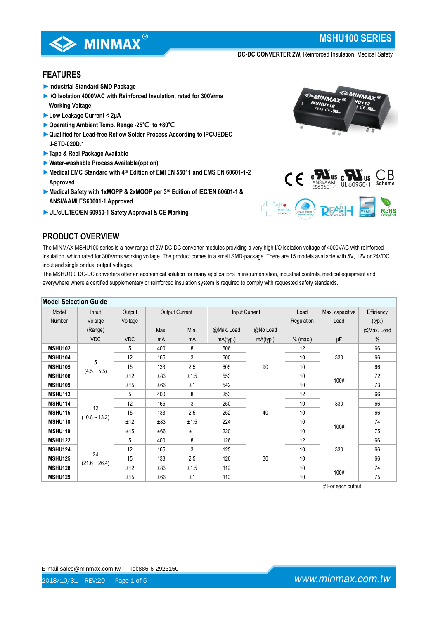

# **MSHU100 SERIES**

**DC-DC CONVERTER 2W,** Reinforced Insulation, Medical Safety

# **FEATURES**

- ►**Industrial Standard SMD Package**
- ►**I/O Isolation 4000VAC with Reinforced Insulation, rated for 300Vrms Working Voltage**
- ►**Low Leakage Current < 2μA**
- ►**Operating Ambient Temp. Range -25℃ to +80℃**
- ►**Qualified for Lead-free Reflow Solder Process According to IPC/JEDEC J-STD-020D.1**
- ►**Tape & Reel Package Available**
- ►**Water-washable Process Available(option)**
- ►**Medical EMC Standard with 4th Edition of EMI EN 55011 and EMS EN 60601-1-2 Approved**
- ►**Medical Safety with 1xMOPP & 2xMOOP per 3rd Edition of IEC/EN 60601-1 & ANSI/AAMI ES60601-1 Approved**
- ►**UL/cUL/IEC/EN 60950-1 Safety Approval & CE Marking**





# **PRODUCT OVERVIEW**

The MINMAX MSHU100 series is a new range of 2W DC-DC converter modules providing a very high I/O isolation voltage of 4000VAC with reinforced insulation, which rated for 300Vrms working voltage. The product comes in a small SMD-package. There are 15 models available with 5V, 12V or 24VDC input and single or dual output voltages.

The MSHU100 DC-DC converters offer an economical solution for many applications in instrumentation, industrial controls, medical equipment and everywhere where a certified supplementary or reinforced insulation system is required to comply with requested safety standards.

| <b>Model Selection Guide</b> |                 |            |                       |      |               |          |            |                 |            |
|------------------------------|-----------------|------------|-----------------------|------|---------------|----------|------------|-----------------|------------|
| Model                        | Input           | Output     | <b>Output Current</b> |      | Input Current |          | Load       | Max. capacitive | Efficiency |
| Number                       | Voltage         | Voltage    |                       |      |               |          | Regulation | Load            | (typ.)     |
|                              | (Range)         |            | Max.                  | Min. | @Max. Load    | @No Load |            |                 | @Max. Load |
|                              | <b>VDC</b>      | <b>VDC</b> | mA                    | mA   | mA(typ.)      | mA(typ.) | $%$ (max.) | μF              | $\%$       |
| <b>MSHU102</b>               |                 | 5          | 400                   | 8    | 606           |          | 12         |                 | 66         |
| <b>MSHU104</b>               |                 | 12         | 165                   | 3    | 600           | 90       | 10         | 330             | 66         |
| <b>MSHU105</b>               | 5               | 15         | 133                   | 2.5  | 605           |          | 10         |                 | 66         |
| <b>MSHU108</b>               | $(4.5 - 5.5)$   | ±12        | ±83                   | ±1.5 | 553           |          | 10         | 100#            | 72         |
| <b>MSHU109</b>               |                 | ±15        | ±66                   | ±1   | 542           |          | 10         |                 | 73         |
| <b>MSHU112</b>               | 12              | 5          | 400                   | 8    | 253           |          | 12         |                 | 66         |
| MSHU114                      |                 | 12         | 165                   | 3    | 250           |          | 10         | 330             | 66         |
| <b>MSHU115</b>               |                 | 15         | 133                   | 2.5  | 252           | 40       | 10         |                 | 66         |
| <b>MSHU118</b>               | $(10.8 - 13.2)$ | ±12        | ±83                   | ±1.5 | 224           |          | 10         |                 | 74         |
| MSHU119                      |                 | ±15        | ±66                   | ±1   | 220           |          | 10         | 100#            | 75         |
| <b>MSHU122</b>               |                 | 5          | 400                   | 8    | 126           |          | 12         |                 | 66         |
| <b>MSHU124</b>               | 24              | 12         | 165                   | 3    | 125           |          | 10         | 330             | 66         |
| <b>MSHU125</b>               |                 | 15         | 133                   | 2.5  | 126           | 30       | 10         |                 | 66         |
| <b>MSHU128</b>               | $(21.6 - 26.4)$ | ±12        | ±83                   | ±1.5 | 112           |          | 10         |                 | 74         |
| <b>MSHU129</b>               |                 | ±15        | ±66                   | ±1   | 110           |          | 10         | 100#            | 75         |

# For each output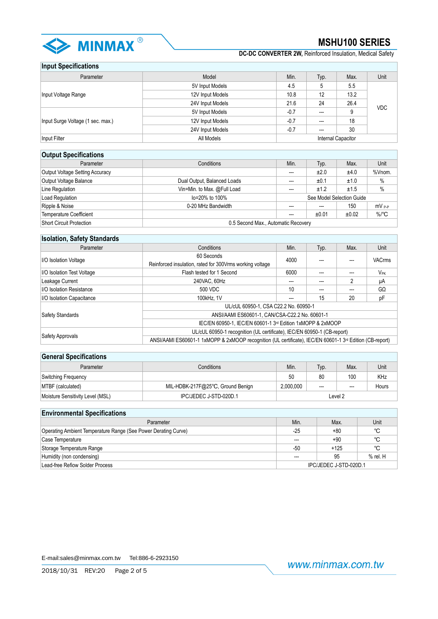

**DC-DC CONVERTER 2W,** Reinforced Insulation, Medical Safety

### **Input Specifications**

| Parameter                         | Model            | Min.   | Typ.                     | Max.               | Unit       |  |  |
|-----------------------------------|------------------|--------|--------------------------|--------------------|------------|--|--|
|                                   | 5V Input Models  | 4.5    | 5                        | 5.5                |            |  |  |
| Input Voltage Range               | 12V Input Models | 10.8   | 12                       | 13.2               | <b>VDC</b> |  |  |
|                                   | 24V Input Models | 21.6   | 24                       | 26.4               |            |  |  |
|                                   | 5V Input Models  | $-0.7$ | $\overline{\phantom{a}}$ | 9                  |            |  |  |
| Input Surge Voltage (1 sec. max.) | 12V Input Models | $-0.7$ | ---                      | 18                 |            |  |  |
|                                   | 24V Input Models | $-0.7$ | ---                      | 30                 |            |  |  |
| Input Filter                      | All Models       |        |                          | Internal Capacitor |            |  |  |

| <b>Output Specifications</b>           |                                     |                          |       |                           |            |  |
|----------------------------------------|-------------------------------------|--------------------------|-------|---------------------------|------------|--|
| Parameter                              | Conditions                          | Min.                     | Typ.  | Max.                      | Unit       |  |
| <b>Output Voltage Setting Accuracy</b> |                                     | $---$                    | ±2.0  | ±4.0                      | %Vnom.     |  |
| Output Voltage Balance                 | Dual Output, Balanced Loads         | ---                      | ±0.1  | ±1.0                      | $\%$       |  |
| Line Regulation                        | Vin=Min. to Max. @Full Load         | $\overline{\phantom{a}}$ | ±1.2  | ±1.5                      | $\%$       |  |
| Load Regulation                        | lo=20% to 100%                      |                          |       | See Model Selection Guide |            |  |
| Ripple & Noise                         | 0-20 MHz Bandwidth                  | $---$                    | ---   | 150                       | $mV_{P-P}$ |  |
| <b>Temperature Coefficient</b>         |                                     | $---$                    | ±0.01 | ±0.02                     | $\%$ /°C   |  |
| Short Circuit Protection               | 0.5 Second Max., Automatic Recovery |                          |       |                           |            |  |

| <b>Isolation, Safety Standards</b>                      |                                                                                                                                                                                                 |      |      |      |               |  |  |
|---------------------------------------------------------|-------------------------------------------------------------------------------------------------------------------------------------------------------------------------------------------------|------|------|------|---------------|--|--|
| Parameter                                               | Conditions                                                                                                                                                                                      | Min. | Typ. | Max. | Unit          |  |  |
| I/O Isolation Voltage                                   | 60 Seconds                                                                                                                                                                                      | 4000 |      |      | <b>VACrms</b> |  |  |
|                                                         | Reinforced insulation, rated for 300Vrms working voltage                                                                                                                                        |      |      |      |               |  |  |
| Flash tested for 1 Second<br>I/O Isolation Test Voltage |                                                                                                                                                                                                 | 6000 |      | ---  | VPK           |  |  |
| Leakage Current                                         | 240VAC, 60Hz                                                                                                                                                                                    | ---  |      |      | μA            |  |  |
| I/O Isolation Resistance                                | 500 VDC                                                                                                                                                                                         | 10   |      | ---  | GΩ            |  |  |
| I/O Isolation Capacitance                               | 100kHz. 1V                                                                                                                                                                                      | ---  | 15   | 20   | pF            |  |  |
|                                                         | UL/cUL 60950-1, CSA C22.2 No. 60950-1                                                                                                                                                           |      |      |      |               |  |  |
| <b>Safety Standards</b>                                 | ANSI/AAMI ES60601-1, CAN/CSA-C22.2 No. 60601-1                                                                                                                                                  |      |      |      |               |  |  |
|                                                         | IEC/EN 60950-1, IEC/EN 60601-1 3rd Edition 1xMOPP & 2xMOOP                                                                                                                                      |      |      |      |               |  |  |
|                                                         | UL/cUL 60950-1 recognition (UL certificate), IEC/EN 60950-1 (CB-report)<br>ANSI/AAMI ES60601-1 1xMOPP & 2xMOOP recognition (UL certificate), IEC/EN 60601-1 3 <sup>rd</sup> Edition (CB-report) |      |      |      |               |  |  |
| Safety Approvals                                        |                                                                                                                                                                                                 |      |      |      |               |  |  |

# **General Specifications**

| _____________________            |                                   |           |      |      |       |  |  |
|----------------------------------|-----------------------------------|-----------|------|------|-------|--|--|
| Parameter                        | Conditions                        | Min.      | Typ. | Max. | Unit  |  |  |
| Switching Frequency              |                                   | 50        | 80   | 100  | KHz   |  |  |
| MTBF (calculated)                | MIL-HDBK-217F@25°C, Ground Benign | 2.000.000 | ---  | ---  | Hours |  |  |
| Moisture Sensitivity Level (MSL) | IPC/JEDEC J-STD-020D.1            | Level 2   |      |      |       |  |  |

### **Environmental Specifications** Parameter Min. Min. Max. Unit Operating Ambient Temperature Range (See Power Derating Curve) -25 +80 +80 < C Case Temperature ---- +90 °C Storage Temperature Range -50 +125 ℃ Humidity (non condensing) and the set of the set of the set of the set of the set of the set of the set of the set of the set of the set of the set of the set of the set of the set of the set of the set of the set of the s Lead-free Refiow Solder Process **IPC/JEDEC J-STD-020D.1**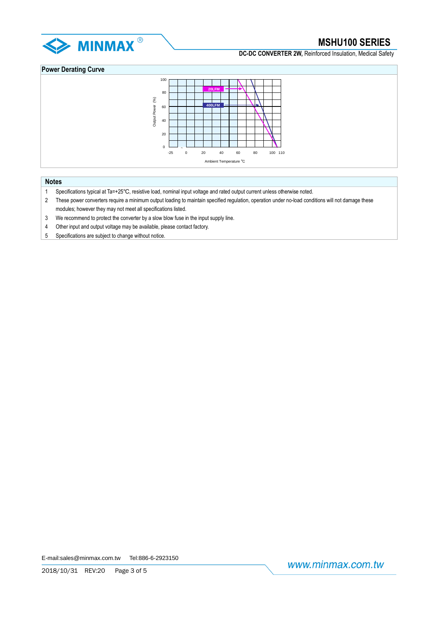

**DC-DC CONVERTER 2W.** Reinforced Insulation, Medical Safety

## **Power Derating Curve**



### **Notes**

- 1 Specifications typical at Ta=+25℃, resistive load, nominal input voltage and rated output current unless otherwise noted.
- 2 These power converters require a minimum output loading to maintain specified regulation, operation under no-load conditions will not damage these modules; however they may not meet all specifications listed.
- 3 We recommend to protect the converter by a slow blow fuse in the input supply line.
- 4 Other input and output voltage may be available, please contact factory.
- 5 Specifications are subject to change without notice.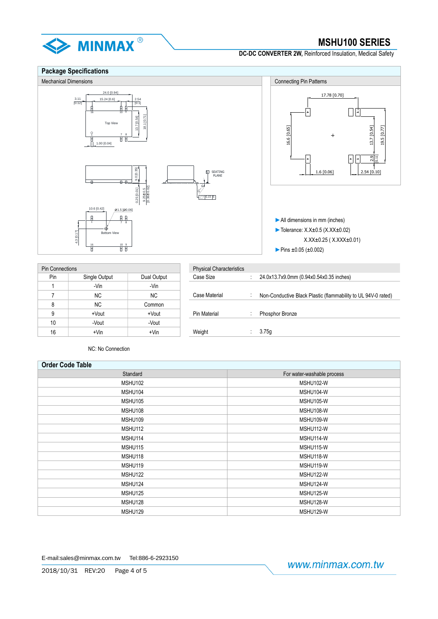

**DC-DC CONVERTER 2W,** Reinforced Insulation, Medical Safety

### **Package Specifications** Mechanical Dimensions **Connecting Pin Patterns** Connecting Pin Patterns 24.0 [0.94] 17.78 [0.70]  $15.24 [0.6]$  $\frac{3.11}{[0.12]}$ [0.1] 日中  $\overline{+}$ 16 10 9 18.1 [0.71] 13.7 [0.54] Top Vie 16.6 [0.65] 13.7 [0.54] 19.5 [0.77] 1 7 8  $\overline{1}$ 1.00 [0.04]  $\boxed{+}$ [0.11]  $\ddot{\phantom{1}}$  $2\frac{1}{2}$  $9.0 [0.35]$ 1.6 [0.06] 2.54 [0.10] SI SEATING<br>| PLANE  $\stackrel{\circ}{\scriptstyle\circ}$  $\frac{9.25 \pm 0.5}{0.36 \pm 0.02}$ 0.25 [0.01]  $\overline{C}$  0.15 S  $10.6 [0.42]$   $21.5 [20.06]$ ►All dimensions in mm (inches) 1 7 8 ₫ ►Tolerance: X.X±0.5 (X.XX±0.02) 4.3 [0.17]Bottom View X.XX±0.25 ( X.XXX±0.01)  $\frac{16}{10}$  10  $\frac{9}{10}$ ►Pins ±0.05 (±0.002)

| <b>Pin Connections</b> |               |             | <b>Physical Characteristics</b> |              |                  |
|------------------------|---------------|-------------|---------------------------------|--------------|------------------|
| Pin                    | Single Output | Dual Output | Case Size                       |              | 24.0x13.7x9.0mn  |
|                        | -Vin          | -Vin        |                                 |              |                  |
|                        | NC.           | NC.         | Case Material                   |              | Non-Conductive I |
| 8                      | <b>NC</b>     | Common      |                                 |              |                  |
| 9                      | +Vout         | +Vout       | <b>Pin Material</b>             | $\mathbf{r}$ | Phosphor Bronze  |
| 10                     | -Vout         | -Vout       |                                 |              |                  |
| 16                     | $+V$ in       | $+V$ in     | Weight                          |              | 3.75g            |

| Connections |               |             | <b>Physical Characteristics</b> |                                                               |
|-------------|---------------|-------------|---------------------------------|---------------------------------------------------------------|
| Pin         | Single Output | Dual Output | Case Size                       | 24.0x13.7x9.0mm (0.94x0.54x0.35 inches)                       |
|             | -Vin          | -Vin        |                                 |                                                               |
|             | NC.           | NC.         | Case Material                   | Non-Conductive Black Plastic (flammability to UL 94V-0 rated) |
| 8           | NC.           | Common      |                                 |                                                               |
| 9           | +Vout         | +Vout       | <b>Pin Material</b>             | Phosphor Bronze                                               |
| 10          | -Vout         | -Vout       |                                 |                                                               |
| 16          | $+V$ in       | $+V$ in     | Weight                          | 3.75q                                                         |
|             |               |             |                                 |                                                               |

NC: No Connection

| <b>Order Code Table</b> |                            |  |  |  |
|-------------------------|----------------------------|--|--|--|
| Standard                | For water-washable process |  |  |  |
| MSHU102                 | MSHU102-W                  |  |  |  |
| MSHU104                 | MSHU104-W                  |  |  |  |
| MSHU105                 | MSHU105-W                  |  |  |  |
| MSHU108                 | MSHU108-W                  |  |  |  |
| MSHU109                 | MSHU109-W                  |  |  |  |
| MSHU112                 | MSHU112-W                  |  |  |  |
| MSHU114                 | MSHU114-W                  |  |  |  |
| MSHU115                 | MSHU115-W                  |  |  |  |
| MSHU118                 | MSHU118-W                  |  |  |  |
| MSHU119                 | MSHU119-W                  |  |  |  |
| MSHU122                 | MSHU122-W                  |  |  |  |
| MSHU124                 | MSHU124-W                  |  |  |  |
| MSHU125                 | MSHU125-W                  |  |  |  |
| MSHU128                 | MSHU128-W                  |  |  |  |
| MSHU129                 | MSHU129-W                  |  |  |  |